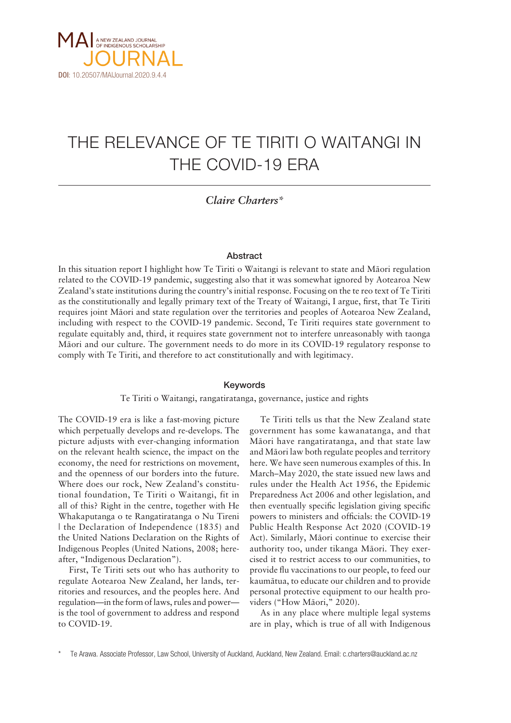

# THE RELEVANCE OF TE TIRITI O WAITANGI IN THE COVID-19 ERA

*Claire Charters\**

## Abstract

In this situation report I highlight how Te Tiriti o Waitangi is relevant to state and Mäori regulation related to the COVID-19 pandemic, suggesting also that it was somewhat ignored by Aotearoa New Zealand's state institutions during the country's initial response. Focusing on the te reo text of Te Tiriti as the constitutionally and legally primary text of the Treaty of Waitangi, I argue, first, that Te Tiriti requires joint Mäori and state regulation over the territories and peoples of Aotearoa New Zealand, including with respect to the COVID-19 pandemic. Second, Te Tiriti requires state government to regulate equitably and, third, it requires state government not to interfere unreasonably with taonga Mäori and our culture. The government needs to do more in its COVID-19 regulatory response to comply with Te Tiriti, and therefore to act constitutionally and with legitimacy.

### Keywords

## Te Tiriti o Waitangi, rangatiratanga, governance, justice and rights

The COVID-19 era is like a fast-moving picture which perpetually develops and re-develops. The picture adjusts with ever-changing information on the relevant health science, the impact on the economy, the need for restrictions on movement, and the openness of our borders into the future. Where does our rock, New Zealand's constitutional foundation, Te Tiriti o Waitangi, fit in all of this? Right in the centre, together with He Whakaputanga o te Rangatiratanga o Nu Tireni | the Declaration of Independence (1835) and the United Nations Declaration on the Rights of Indigenous Peoples (United Nations, 2008; hereafter, "Indigenous Declaration").

First, Te Tiriti sets out who has authority to regulate Aotearoa New Zealand, her lands, territories and resources, and the peoples here. And regulation—in the form of laws, rules and power is the tool of government to address and respond to COVID-19.

Te Tiriti tells us that the New Zealand state government has some kawanatanga, and that Mäori have rangatiratanga, and that state law and Mäori law both regulate peoples and territory here. We have seen numerous examples of this. In March–May 2020, the state issued new laws and rules under the Health Act 1956, the Epidemic Preparedness Act 2006 and other legislation, and then eventually specific legislation giving specific powers to ministers and officials: the COVID-19 Public Health Response Act 2020 (COVID-19 Act). Similarly, Mäori continue to exercise their authority too, under tikanga Mäori. They exercised it to restrict access to our communities, to provide flu vaccinations to our people, to feed our kaumätua, to educate our children and to provide personal protective equipment to our health providers ("How Māori," 2020).

As in any place where multiple legal systems are in play, which is true of all with Indigenous

<sup>\*</sup> Te Arawa. Associate Professor, Law School, University of Auckland, Auckland, New Zealand. Email: c.charters@auckland.ac.nz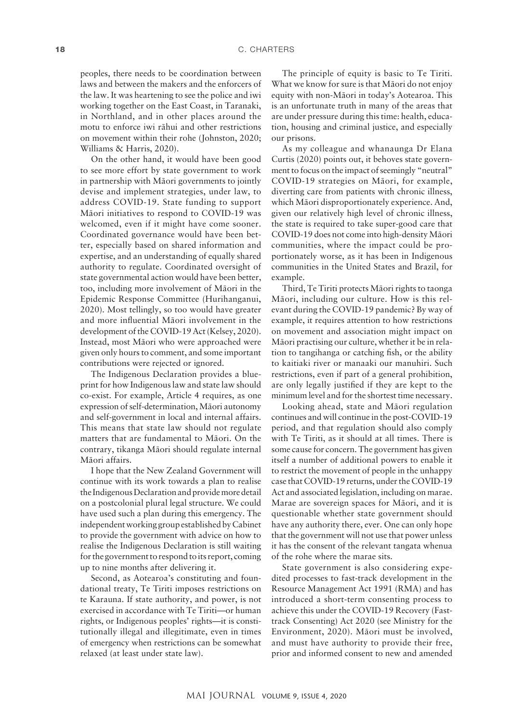peoples, there needs to be coordination between laws and between the makers and the enforcers of the law. It was heartening to see the police and iwi working together on the East Coast, in Taranaki, in Northland, and in other places around the motu to enforce iwi rähui and other restrictions on movement within their rohe (Johnston, 2020; Williams & Harris, 2020).

On the other hand, it would have been good to see more effort by state government to work in partnership with Mäori governments to jointly devise and implement strategies, under law, to address COVID-19. State funding to support Mäori initiatives to respond to COVID-19 was welcomed, even if it might have come sooner. Coordinated governance would have been better, especially based on shared information and expertise, and an understanding of equally shared authority to regulate. Coordinated oversight of state governmental action would have been better, too, including more involvement of Mäori in the Epidemic Response Committee (Hurihanganui, 2020). Most tellingly, so too would have greater and more influential Mäori involvement in the development of the COVID-19 Act (Kelsey, 2020). Instead, most Mäori who were approached were given only hours to comment, and some important contributions were rejected or ignored.

The Indigenous Declaration provides a blueprint for how Indigenous law and state law should co-exist. For example, Article 4 requires, as one expression of self-determination, Mäori autonomy and self-government in local and internal affairs. This means that state law should not regulate matters that are fundamental to Mäori. On the contrary, tikanga Mäori should regulate internal Mäori affairs.

I hope that the New Zealand Government will continue with its work towards a plan to realise the Indigenous Declaration and provide more detail on a postcolonial plural legal structure. We could have used such a plan during this emergency. The independent working group established by Cabinet to provide the government with advice on how to realise the Indigenous Declaration is still waiting for the government to respond to its report, coming up to nine months after delivering it.

Second, as Aotearoa's constituting and foundational treaty, Te Tiriti imposes restrictions on te Karauna. If state authority, and power, is not exercised in accordance with Te Tiriti—or human rights, or Indigenous peoples' rights—it is constitutionally illegal and illegitimate, even in times of emergency when restrictions can be somewhat relaxed (at least under state law).

The principle of equity is basic to Te Tiriti. What we know for sure is that Mäori do not enjoy equity with non-Mäori in today's Aotearoa. This is an unfortunate truth in many of the areas that are under pressure during this time: health, education, housing and criminal justice, and especially our prisons.

As my colleague and whanaunga Dr Elana Curtis (2020) points out, it behoves state government to focus on the impact of seemingly "neutral" COVID-19 strategies on Mäori, for example, diverting care from patients with chronic illness, which Mäori disproportionately experience. And, given our relatively high level of chronic illness, the state is required to take super-good care that COVID-19 does not come into high-density Mäori communities, where the impact could be proportionately worse, as it has been in Indigenous communities in the United States and Brazil, for example.

Third, Te Tiriti protects Mäori rights to taonga Mäori, including our culture. How is this relevant during the COVID-19 pandemic? By way of example, it requires attention to how restrictions on movement and association might impact on Mäori practising our culture, whether it be in relation to tangihanga or catching fish, or the ability to kaitiaki river or manaaki our manuhiri. Such restrictions, even if part of a general prohibition, are only legally justified if they are kept to the minimum level and for the shortest time necessary.

Looking ahead, state and Mäori regulation continues and will continue in the post-COVID-19 period, and that regulation should also comply with Te Tiriti, as it should at all times. There is some cause for concern. The government has given itself a number of additional powers to enable it to restrict the movement of people in the unhappy case that COVID-19 returns, under the COVID-19 Act and associated legislation, including on marae. Marae are sovereign spaces for Mäori, and it is questionable whether state government should have any authority there, ever. One can only hope that the government will not use that power unless it has the consent of the relevant tangata whenua of the rohe where the marae sits.

State government is also considering expedited processes to fast-track development in the Resource Management Act 1991 (RMA) and has introduced a short-term consenting process to achieve this under the COVID-19 Recovery (Fasttrack Consenting) Act 2020 (see Ministry for the Environment, 2020). Mäori must be involved, and must have authority to provide their free, prior and informed consent to new and amended